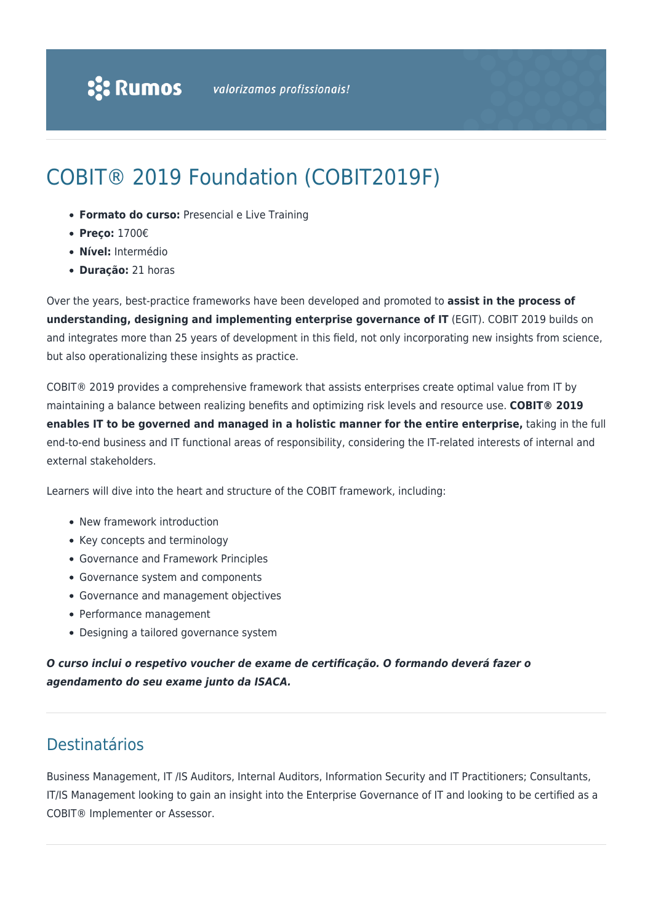## COBIT® 2019 Foundation (COBIT2019F)

- **Formato do curso:** Presencial e Live Training
- **Preço:** 1700€
- **Nível:** Intermédio
- **Duração:** 21 horas

Over the years, best-practice frameworks have been developed and promoted to **assist in the process of understanding, designing and implementing enterprise governance of IT** (EGIT). COBIT 2019 builds on and integrates more than 25 years of development in this field, not only incorporating new insights from science, but also operationalizing these insights as practice.

COBIT® 2019 provides a comprehensive framework that assists enterprises create optimal value from IT by maintaining a balance between realizing benefits and optimizing risk levels and resource use. **COBIT® 2019 enables IT to be governed and managed in a holistic manner for the entire enterprise,** taking in the full end-to-end business and IT functional areas of responsibility, considering the IT-related interests of internal and external stakeholders.

Learners will dive into the heart and structure of the COBIT framework, including:

- New framework introduction
- Key concepts and terminology
- Governance and Framework Principles
- Governance system and components
- Governance and management objectives
- Performance management
- Designing a tailored governance system

*O curso inclui o respetivo voucher de exame de certificação. O formando deverá fazer o agendamento do seu exame junto da ISACA.*

## Destinatários

Business Management, IT /IS Auditors, Internal Auditors, Information Security and IT Practitioners; Consultants, IT/IS Management looking to gain an insight into the Enterprise Governance of IT and looking to be certified as a COBIT® Implementer or Assessor.